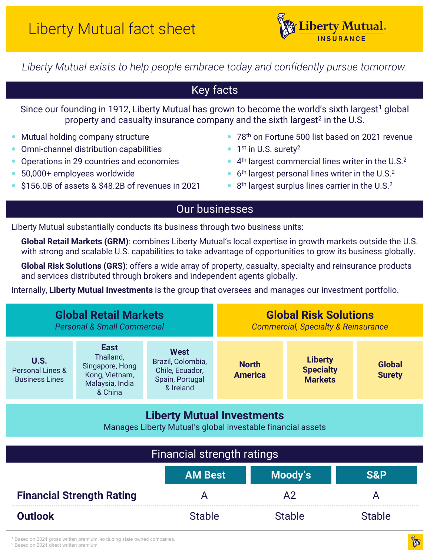

*Liberty Mutual exists to help people embrace today and confidently pursue tomorrow.*

# Key facts

Since our founding in 1912, Liberty Mutual has grown to become the world's sixth largest<sup>1</sup> global property and casualty insurance company and the sixth largest<sup>2</sup> in the U.S.

- Mutual holding company structure
- Omni-channel distribution capabilities
- Operations in 29 countries and economies
- 50,000+ employees worldwide
- \$156.0B of assets & \$48.2B of revenues in 2021
- 78<sup>th</sup> on Fortune 500 list based on 2021 revenue
- 1<sup>st</sup> in U.S. surety<sup>2</sup>
- $\bullet$  4<sup>th</sup> largest commercial lines writer in the U.S.<sup>2</sup>
- $\bullet$  6<sup>th</sup> largest personal lines writer in the U.S.<sup>2</sup>
- $\bullet$  8<sup>th</sup> largest surplus lines carrier in the U.S.<sup>2</sup>

## Our businesses

Liberty Mutual substantially conducts its business through two business units:

**Global Retail Markets (GRM)**: combines Liberty Mutual's local expertise in growth markets outside the U.S. with strong and scalable U.S. capabilities to take advantage of opportunities to grow its business globally.

**Global Risk Solutions (GRS)**: offers a wide array of property, casualty, specialty and reinsurance products and services distributed through brokers and independent agents globally.

Internally, **Liberty Mutual Investments** is the group that oversees and manages our investment portfolio.

| <b>Global Retail Markets</b><br><b>Personal &amp; Small Commercial</b>                           |                                                                                             |                                                                              | <b>Global Risk Solutions</b><br><b>Commercial, Specialty &amp; Reinsurance</b> |                                                      |                                |  |  |
|--------------------------------------------------------------------------------------------------|---------------------------------------------------------------------------------------------|------------------------------------------------------------------------------|--------------------------------------------------------------------------------|------------------------------------------------------|--------------------------------|--|--|
| U.S.<br><b>Personal Lines &amp;</b><br><b>Business Lines</b>                                     | <b>East</b><br>Thailand,<br>Singapore, Hong<br>Kong, Vietnam,<br>Malaysia, India<br>& China | West<br>Brazil, Colombia,<br>Chile, Ecuador,<br>Spain, Portugal<br>& Ireland | <b>North</b><br><b>America</b>                                                 | <b>Liberty</b><br><b>Specialty</b><br><b>Markets</b> | <b>Global</b><br><b>Surety</b> |  |  |
| <b>Liberty Mutual Investments</b><br>Manages Liberty Mutual's global investable financial assets |                                                                                             |                                                                              |                                                                                |                                                      |                                |  |  |

| <b>Financial strength ratings</b> |                |               |                |  |  |
|-----------------------------------|----------------|---------------|----------------|--|--|
|                                   | <b>AM Best</b> | Moody's       | <b>S&amp;P</b> |  |  |
| <b>Financial Strength Rating</b>  |                |               |                |  |  |
| <b>Outlook</b>                    | <b>Stable</b>  | <b>Stable</b> | <b>Stable</b>  |  |  |

<sup>1</sup> Based on 2021 gross written premium, excluding state owned companies.

<sup>2</sup> Based on 2021 direct written premium